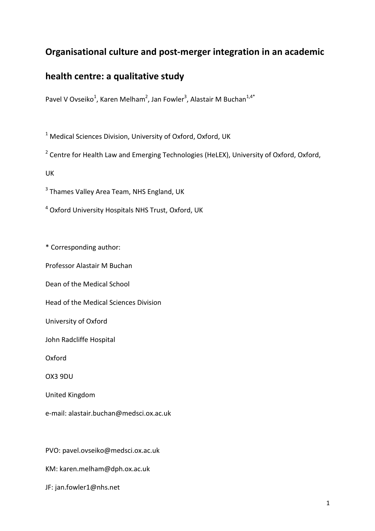# **Organisational culture and post-merger integration in an academic**

# **health centre: a qualitative study**

Pavel V Ovseiko<sup>1</sup>, Karen Melham<sup>2</sup>, Jan Fowler<sup>3</sup>, Alastair M Buchan<sup>1,4\*</sup>

 $^1$  Medical Sciences Division, University of Oxford, Oxford, UK

<sup>2</sup> Centre for Health Law and Emerging Technologies (HeLEX), University of Oxford, Oxford,

UK

 $3$  Thames Valley Area Team, NHS England, UK

<sup>4</sup> Oxford University Hospitals NHS Trust, Oxford, UK

\* Corresponding author:

Professor Alastair M Buchan

Dean of the Medical School

Head of the Medical Sciences Division

University of Oxford

John Radcliffe Hospital

Oxford

OX3 9DU

United Kingdom

e-mail: alastair.buchan@medsci.ox.ac.uk

PVO: pavel.ovseiko@medsci.ox.ac.uk

KM: karen.melham@dph.ox.ac.uk

JF: jan.fowler1@nhs.net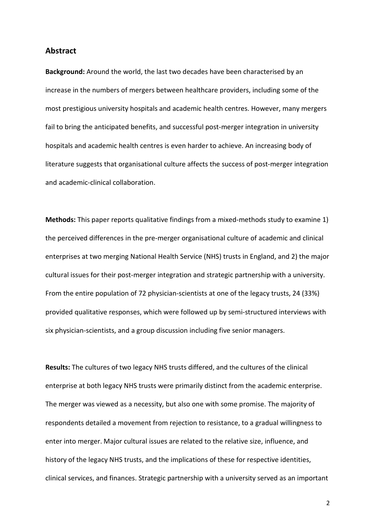#### **Abstract**

**Background:** Around the world, the last two decades have been characterised by an increase in the numbers of mergers between healthcare providers, including some of the most prestigious university hospitals and academic health centres. However, many mergers fail to bring the anticipated benefits, and successful post-merger integration in university hospitals and academic health centres is even harder to achieve. An increasing body of literature suggests that organisational culture affects the success of post-merger integration and academic-clinical collaboration.

**Methods:** This paper reports qualitative findings from a mixed-methods study to examine 1) the perceived differences in the pre-merger organisational culture of academic and clinical enterprises at two merging National Health Service (NHS) trusts in England, and 2) the major cultural issues for their post-merger integration and strategic partnership with a university. From the entire population of 72 physician-scientists at one of the legacy trusts, 24 (33%) provided qualitative responses, which were followed up by semi-structured interviews with six physician-scientists, and a group discussion including five senior managers.

**Results:** The cultures of two legacy NHS trusts differed, and the cultures of the clinical enterprise at both legacy NHS trusts were primarily distinct from the academic enterprise. The merger was viewed as a necessity, but also one with some promise. The majority of respondents detailed a movement from rejection to resistance, to a gradual willingness to enter into merger. Major cultural issues are related to the relative size, influence, and history of the legacy NHS trusts, and the implications of these for respective identities, clinical services, and finances. Strategic partnership with a university served as an important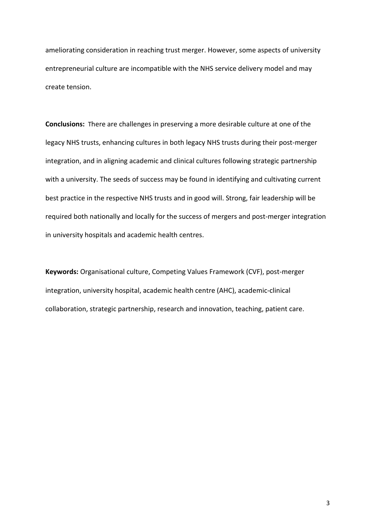ameliorating consideration in reaching trust merger. However, some aspects of university entrepreneurial culture are incompatible with the NHS service delivery model and may create tension.

**Conclusions:** There are challenges in preserving a more desirable culture at one of the legacy NHS trusts, enhancing cultures in both legacy NHS trusts during their post-merger integration, and in aligning academic and clinical cultures following strategic partnership with a university. The seeds of success may be found in identifying and cultivating current best practice in the respective NHS trusts and in good will. Strong, fair leadership will be required both nationally and locally for the success of mergers and post-merger integration in university hospitals and academic health centres.

**Keywords:** Organisational culture, Competing Values Framework (CVF), post-merger integration, university hospital, academic health centre (AHC), academic-clinical collaboration, strategic partnership, research and innovation, teaching, patient care.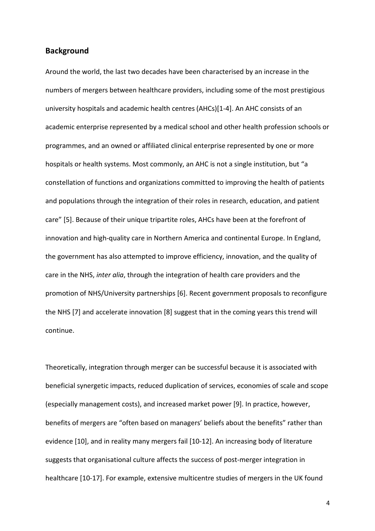### **Background**

Around the world, the last two decades have been characterised by an increase in the numbers of mergers between healthcare providers, including some of the most prestigious university hospitals and academic health centres (AHCs)[[1-4\]](#page-30-0). An AHC consists of an academic enterprise represented by a medical school and other health profession schools or programmes, and an owned or affiliated clinical enterprise represented by one or more hospitals or health systems. Most commonly, an AHC is not a single institution, but "a constellation of functions and organizations committed to improving the health of patients and populations through the integration of their roles in research, education, and patient care" [\[5\]](#page-30-0). Because of their unique tripartite roles, AHCs have been at the forefront of innovation and high-quality care in Northern America and continental Europe. In England, the government has also attempted to improve efficiency, innovation, and the quality of care in the NHS, *inter alia*, through the integration of health care providers and the promotion of NHS/University partnerships [[6\]](#page-30-0). Recent government proposals to reconfigure the NHS [\[7\]](#page-30-0) and accelerate innovation [[8\]](#page-31-0) suggest that in the coming years this trend will continue.

Theoretically, integration through merger can be successful because it is associated with beneficial synergetic impacts, reduced duplication of services, economies of scale and scope (especially management costs), and increased market power [[9\]](#page-31-0). In practice, however, benefits of mergers are "often based on managers' beliefs about the benefits" rather than evidence [\[10\],](#page-31-0) and in reality many mergers fail [\[10-12\]](#page-31-0). An increasing body of literature suggests that organisational culture affects the success of post-merger integration in healthcare [\[10-17\].](#page-31-0) For example, extensive multicentre studies of mergers in the UK found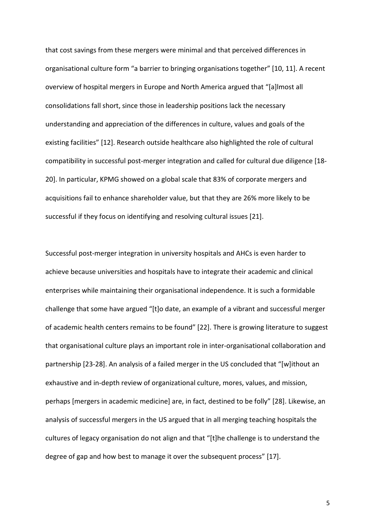that cost savings from these mergers were minimal and that perceived differences in organisational culture form "a barrier to bringing organisations together" [\[10, 11\]](#page-31-0). A recent overview of hospital mergers in Europe and North America argued that "[a]lmost all consolidations fall short, since those in leadership positions lack the necessary understanding and appreciation of the differences in culture, values and goals of the existing facilities" [[12\]](#page-31-0). Research outside healthcare also highlighted the role of cultural compatibility in successful post-merger integration and called for cultural due diligence [[18-](#page-31-0) [20](#page-31-0)]. In particular, KPMG showed on a global scale that 83% of corporate mergers and acquisitions fail to enhance shareholder value, but that they are 26% more likely to be successful if they focus on identifying and resolving cultural issues [[21\].](#page-32-0)

Successful post-merger integration in university hospitals and AHCs is even harder to achieve because universities and hospitals have to integrate their academic and clinical enterprises while maintaining their organisational independence. It is such a formidable challenge that some have argued "[t]o date, an example of a vibrant and successful merger of academic health centers remains to be found" [[22\]](#page-32-0). There is growing literature to suggest that organisational culture plays an important role in inter-organisational collaboration and partnership [\[23-28](#page-32-0)]. An analysis of a failed merger in the US concluded that "[w]ithout an exhaustive and in-depth review of organizational culture, mores, values, and mission, perhaps [mergers in academic medicine] are, in fact, destined to be folly" [[28](#page-32-0)]. Likewise, an analysis of successful mergers in the US argued that in all merging teaching hospitals the cultures of legacy organisation do not align and that "[t]he challenge is to understand the degree of gap and how best to manage it over the subsequent process" [[17\]](#page-31-0).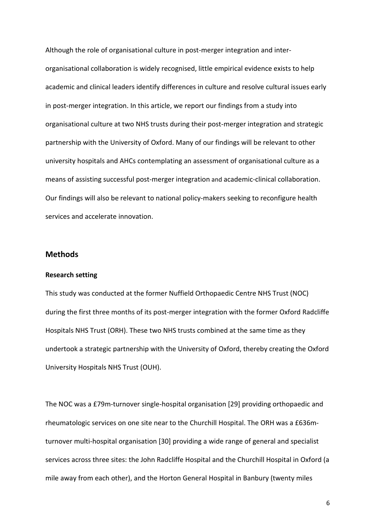Although the role of organisational culture in post-merger integration and interorganisational collaboration is widely recognised, little empirical evidence exists to help academic and clinical leaders identify differences in culture and resolve cultural issues early in post-merger integration. In this article, we report our findings from a study into organisational culture at two NHS trusts during their post-merger integration and strategic partnership with the University of Oxford. Many of our findings will be relevant to other university hospitals and AHCs contemplating an assessment of organisational culture as a means of assisting successful post-merger integration and academic-clinical collaboration. Our findings will also be relevant to national policy-makers seeking to reconfigure health services and accelerate innovation.

## **Methods**

#### **Research setting**

This study was conducted at the former Nuffield Orthopaedic Centre NHS Trust (NOC) during the first three months of its post-merger integration with the former Oxford Radcliffe Hospitals NHS Trust (ORH). These two NHS trusts combined at the same time as they undertook a strategic partnership with the University of Oxford, thereby creating the Oxford University Hospitals NHS Trust (OUH).

The NOC was a £79m-turnover single-hospital organisation [[29\]](#page-32-0) providing orthopaedic and rheumatologic services on one site near to the Churchill Hospital. The ORH was a £636mturnover multi-hospital organisation [[30\]](#page-32-0) providing a wide range of general and specialist services across three sites: the John Radcliffe Hospital and the Churchill Hospital in Oxford (a mile away from each other), and the Horton General Hospital in Banbury (twenty miles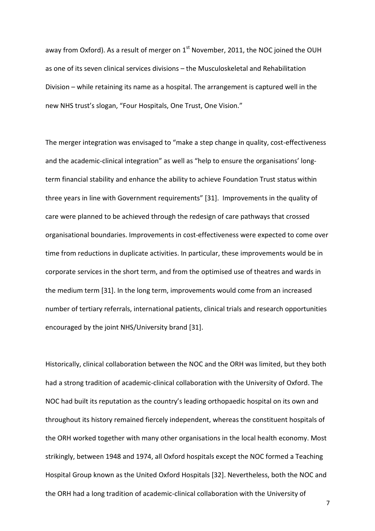away from Oxford). As a result of merger on  $1<sup>st</sup>$  November, 2011, the NOC joined the OUH as one of its seven clinical services divisions – the Musculoskeletal and Rehabilitation Division – while retaining its name as a hospital. The arrangement is captured well in the new NHS trust's slogan, "Four Hospitals, One Trust, One Vision."

The merger integration was envisaged to "make a step change in quality, cost-effectiveness and the academic-clinical integration" as well as "help to ensure the organisations' longterm financial stability and enhance the ability to achieve Foundation Trust status within three years in line with Government requirements" [\[31\]](#page-32-0).Improvements in the quality of care were planned to be achieved through the redesign of care pathways that crossed organisational boundaries. Improvements in cost-effectiveness were expected to come over time from reductions in duplicate activities. In particular, these improvements would be in corporate services in the short term, and from the optimised use of theatres and wards in the medium term [\[31\]](#page-32-0). In the long term, improvements would come from an increased number of tertiary referrals, international patients, clinical trials and research opportunities encouraged by the joint NHS/University brand [[31\]](#page-32-0).

Historically, clinical collaboration between the NOC and the ORH was limited, but they both had a strong tradition of academic-clinical collaboration with the University of Oxford. The NOC had built its reputation as the country's leading orthopaedic hospital on its own and throughout its history remained fiercely independent, whereas the constituent hospitals of the ORH worked together with many other organisations in the local health economy. Most strikingly, between 1948 and 1974, all Oxford hospitals except the NOC formed a Teaching Hospital Group known as the United Oxford Hospitals [[32\]](#page-33-0). Nevertheless, both the NOC and the ORH had a long tradition of academic-clinical collaboration with the University of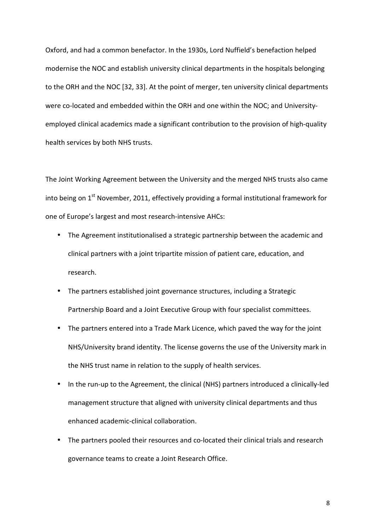Oxford, and had a common benefactor. In the 1930s, Lord Nuffield's benefaction helped modernise the NOC and establish university clinical departments in the hospitals belonging to the ORH and the NOC [\[32, 33\]](#page-33-0). At the point of merger, ten university clinical departments were co-located and embedded within the ORH and one within the NOC; and Universityemployed clinical academics made a significant contribution to the provision of high-quality health services by both NHS trusts.

The Joint Working Agreement between the University and the merged NHS trusts also came into being on 1<sup>st</sup> November, 2011, effectively providing a formal institutional framework for one of Europe's largest and most research-intensive AHCs:

- The Agreement institutionalised a strategic partnership between the academic and clinical partners with a joint tripartite mission of patient care, education, and research.
- The partners established joint governance structures, including a Strategic Partnership Board and a Joint Executive Group with four specialist committees.
- The partners entered into a Trade Mark Licence, which paved the way for the joint NHS/University brand identity. The license governs the use of the University mark in the NHS trust name in relation to the supply of health services.
- In the run-up to the Agreement, the clinical (NHS) partners introduced a clinically-led management structure that aligned with university clinical departments and thus enhanced academic-clinical collaboration.
- The partners pooled their resources and co-located their clinical trials and research governance teams to create a Joint Research Office[.](#page-32-0)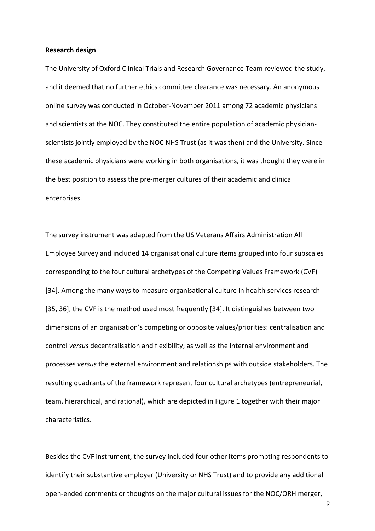#### **Research design**

The University of Oxford Clinical Trials and Research Governance Team reviewed the study, and it deemed that no further ethics committee clearance was necessary. An anonymous online survey was conducted in October-November 2011 among 72 academic physicians and scientists at the NOC. They constituted the entire population of academic physicianscientists jointly employed by the NOC NHS Trust (as it was then) and the University. Since these academic physicians were working in both organisations, it was thought they were in the best position to assess the pre-merger cultures of their academic and clinical enterprises.

The survey instrument was adapted from the US Veterans Affairs Administration All Employee Survey and included 14 organisational culture items grouped into four subscales corresponding to the four cultural archetypes of the Competing Values Framework (CVF) [[34\]](#page-33-0). Among the many ways to measure organisational culture in health services research [[35,](#page-33-0) [36\]](#page-33-0), the CVF is the method used most frequently [[34\]](#page-33-0). It distinguishes between two dimensions of an organisation's competing or opposite values/priorities: centralisation and control *versus* decentralisation and flexibility; as well as the internal environment and processes *versus* the external environment and relationships with outside stakeholders. The resulting quadrants of the framework represent four cultural archetypes (entrepreneurial, team, hierarchical, and rational), which are depicted in Figure 1 together with their major characteristics.

Besides the CVF instrument, the survey included four other items prompting respondents to identify their substantive employer (University or NHS Trust) and to provide any additional open-ended comments or thoughts on the major cultural issues for the NOC/ORH merger,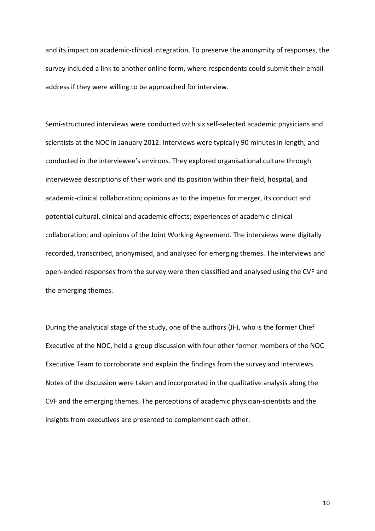and its impact on academic-clinical integration. To preserve the anonymity of responses, the survey included a link to another online form, where respondents could submit their email address if they were willing to be approached for interview.

Semi-structured interviews were conducted with six self-selected academic physicians and scientists at the NOC in January 2012. Interviews were typically 90 minutes in length, and conducted in the interviewee's environs. They explored organisational culture through interviewee descriptions of their work and its position within their field, hospital, and academic-clinical collaboration; opinions as to the impetus for merger, its conduct and potential cultural, clinical and academic effects; experiences of academic-clinical collaboration; and opinions of the Joint Working Agreement. The interviews were digitally recorded, transcribed, anonymised, and analysed for emerging themes. The interviews and open-ended responses from the survey were then classified and analysed using the CVF and the emerging themes.

During the analytical stage of the study, one of the authors (JF), who is the former Chief Executive of the NOC, held a group discussion with four other former members of the NOC Executive Team to corroborate and explain the findings from the survey and interviews. Notes of the discussion were taken and incorporated in the qualitative analysis along the CVF and the emerging themes. The perceptions of academic physician-scientists and the insights from executives are presented to complement each other.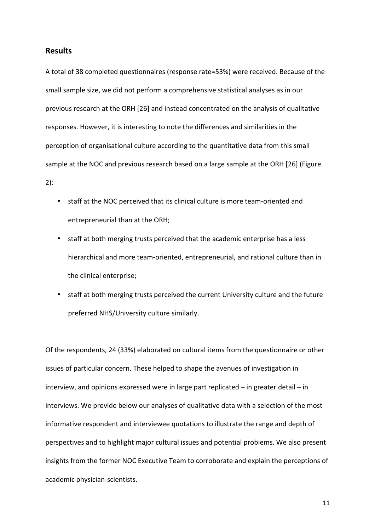## **Results**

A total of 38 completed questionnaires (response rate=53%) were received. Because of the small sample size, we did not perform a comprehensive statistical analyses as in our previous research at the ORH [\[26\]](#page-32-0) and instead concentrated on the analysis of qualitative responses. However, it is interesting to note the differences and similarities in the perception of organisational culture according to the quantitative data from this small sample at the NOC and previous research based on a large sample at the ORH [[26\]](#page-32-0) (Figure

2):

- staff at the NOC perceived that its clinical culture is more team-oriented and entrepreneurial than at the ORH;
- staff at both merging trusts perceived that the academic enterprise has a less hierarchical and more team-oriented, entrepreneurial, and rational culture than in the clinical enterprise;
- staff at both merging trusts perceived the current University culture and the future preferred NHS/University culture similarly.

Of the respondents, 24 (33%) elaborated on cultural items from the questionnaire or other issues of particular concern. These helped to shape the avenues of investigation in interview, and opinions expressed were in large part replicated – in greater detail – in interviews. We provide below our analyses of qualitative data with a selection of the most informative respondent and interviewee quotations to illustrate the range and depth of perspectives and to highlight major cultural issues and potential problems. We also present insights from the former NOC Executive Team to corroborate and explain the perceptions of academic physician-scientists.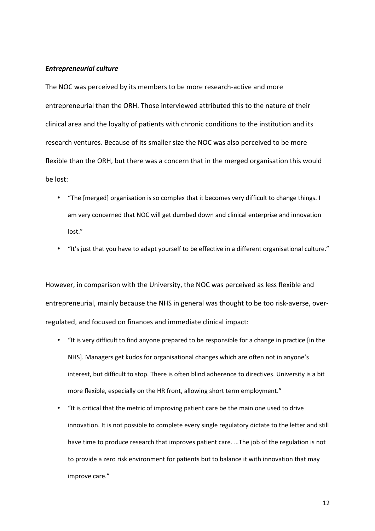#### *Entrepreneurial culture*

The NOC was perceived by its members to be more research-active and more entrepreneurial than the ORH. Those interviewed attributed this to the nature of their clinical area and the loyalty of patients with chronic conditions to the institution and its research ventures. Because of its smaller size the NOC was also perceived to be more flexible than the ORH, but there was a concern that in the merged organisation this would be lost:

- "The [merged] organisation is so complex that it becomes very difficult to change things. I am very concerned that NOC will get dumbed down and clinical enterprise and innovation lost."
- "It's just that you have to adapt yourself to be effective in a different organisational culture."

However, in comparison with the University, the NOC was perceived as less flexible and entrepreneurial, mainly because the NHS in general was thought to be too risk-averse, overregulated, and focused on finances and immediate clinical impact:

- "It is very difficult to find anyone prepared to be responsible for a change in practice [in the NHS]. Managers get kudos for organisational changes which are often not in anyone's interest, but difficult to stop. There is often blind adherence to directives. University is a bit more flexible, especially on the HR front, allowing short term employment."
- "It is critical that the metric of improving patient care be the main one used to drive innovation. It is not possible to complete every single regulatory dictate to the letter and still have time to produce research that improves patient care. …The job of the regulation is not to provide a zero risk environment for patients but to balance it with innovation that may improve care."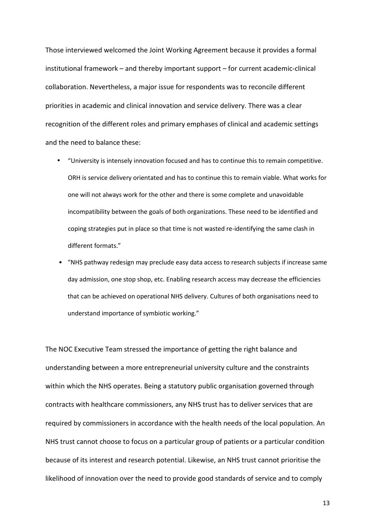Those interviewed welcomed the Joint Working Agreement because it provides a formal institutional framework – and thereby important support – for current academic-clinical collaboration. Nevertheless, a major issue for respondents was to reconcile different priorities in academic and clinical innovation and service delivery. There was a clear recognition of the different roles and primary emphases of clinical and academic settings and the need to balance these:

- "University is intensely innovation focused and has to continue this to remain competitive. ORH is service delivery orientated and has to continue this to remain viable. What works for one will not always work for the other and there is some complete and unavoidable incompatibility between the goals of both organizations. These need to be identified and coping strategies put in place so that time is not wasted re-identifying the same clash in different formats."
- "NHS pathway redesign may preclude easy data access to research subjects if increase same day admission, one stop shop, etc. Enabling research access may decrease the efficiencies that can be achieved on operational NHS delivery. Cultures of both organisations need to understand importance of symbiotic working."

The NOC Executive Team stressed the importance of getting the right balance and understanding between a more entrepreneurial university culture and the constraints within which the NHS operates. Being a statutory public organisation governed through contracts with healthcare commissioners, any NHS trust has to deliver services that are required by commissioners in accordance with the health needs of the local population. An NHS trust cannot choose to focus on a particular group of patients or a particular condition because of its interest and research potential. Likewise, an NHS trust cannot prioritise the likelihood of innovation over the need to provide good standards of service and to comply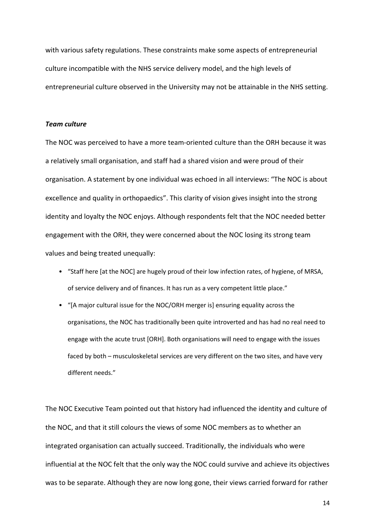with various safety regulations. These constraints make some aspects of entrepreneurial culture incompatible with the NHS service delivery model, and the high levels of entrepreneurial culture observed in the University may not be attainable in the NHS setting.

#### *Team culture*

The NOC was perceived to have a more team-oriented culture than the ORH because it was a relatively small organisation, and staff had a shared vision and were proud of their organisation. A statement by one individual was echoed in all interviews: "The NOC is about excellence and quality in orthopaedics". This clarity of vision gives insight into the strong identity and loyalty the NOC enjoys. Although respondents felt that the NOC needed better engagement with the ORH, they were concerned about the NOC losing its strong team values and being treated unequally:

- "Staff here [at the NOC] are hugely proud of their low infection rates, of hygiene, of MRSA, of service delivery and of finances. It has run as a very competent little place."
- "[A major cultural issue for the NOC/ORH merger is] ensuring equality across the organisations, the NOC has traditionally been quite introverted and has had no real need to engage with the acute trust [ORH]. Both organisations will need to engage with the issues faced by both – musculoskeletal services are very different on the two sites, and have very different needs."

The NOC Executive Team pointed out that history had influenced the identity and culture of the NOC, and that it still colours the views of some NOC members as to whether an integrated organisation can actually succeed. Traditionally, the individuals who were influential at the NOC felt that the only way the NOC could survive and achieve its objectives was to be separate. Although they are now long gone, their views carried forward for rather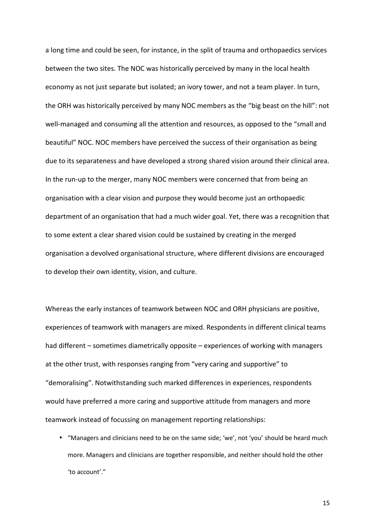a long time and could be seen, for instance, in the split of trauma and orthopaedics services between the two sites. The NOC was historically perceived by many in the local health economy as not just separate but isolated; an ivory tower, and not a team player. In turn, the ORH was historically perceived by many NOC members as the "big beast on the hill": not well-managed and consuming all the attention and resources, as opposed to the "small and beautiful" NOC. NOC members have perceived the success of their organisation as being due to its separateness and have developed a strong shared vision around their clinical area. In the run-up to the merger, many NOC members were concerned that from being an organisation with a clear vision and purpose they would become just an orthopaedic department of an organisation that had a much wider goal. Yet, there was a recognition that to some extent a clear shared vision could be sustained by creating in the merged organisation a devolved organisational structure, where different divisions are encouraged to develop their own identity, vision, and culture.

Whereas the early instances of teamwork between NOC and ORH physicians are positive, experiences of teamwork with managers are mixed. Respondents in different clinical teams had different – sometimes diametrically opposite – experiences of working with managers at the other trust, with responses ranging from "very caring and supportive" to "demoralising". Notwithstanding such marked differences in experiences, respondents would have preferred a more caring and supportive attitude from managers and more teamwork instead of focussing on management reporting relationships:

• "Managers and clinicians need to be on the same side; 'we', not 'you' should be heard much more. Managers and clinicians are together responsible, and neither should hold the other 'to account'."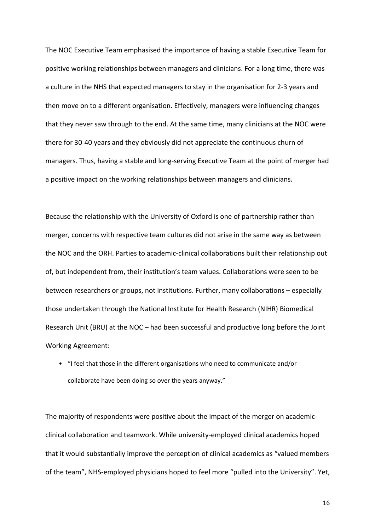The NOC Executive Team emphasised the importance of having a stable Executive Team for positive working relationships between managers and clinicians. For a long time, there was a culture in the NHS that expected managers to stay in the organisation for 2-3 years and then move on to a different organisation. Effectively, managers were influencing changes that they never saw through to the end. At the same time, many clinicians at the NOC were there for 30-40 years and they obviously did not appreciate the continuous churn of managers. Thus, having a stable and long-serving Executive Team at the point of merger had a positive impact on the working relationships between managers and clinicians.

Because the relationship with the University of Oxford is one of partnership rather than merger, concerns with respective team cultures did not arise in the same way as between the NOC and the ORH. Parties to academic-clinical collaborations built their relationship out of, but independent from, their institution's team values. Collaborations were seen to be between researchers or groups, not institutions. Further, many collaborations – especially those undertaken through the National Institute for Health Research (NIHR) Biomedical Research Unit (BRU) at the NOC – had been successful and productive long before the Joint Working Agreement:

• "I feel that those in the different organisations who need to communicate and/or collaborate have been doing so over the years anyway."

The majority of respondents were positive about the impact of the merger on academicclinical collaboration and teamwork. While university-employed clinical academics hoped that it would substantially improve the perception of clinical academics as "valued members of the team", NHS-employed physicians hoped to feel more "pulled into the University". Yet,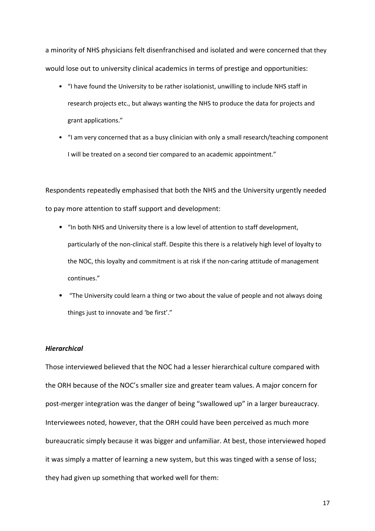a minority of NHS physicians felt disenfranchised and isolated and were concerned that they would lose out to university clinical academics in terms of prestige and opportunities:

- "I have found the University to be rather isolationist, unwilling to include NHS staff in research projects etc., but always wanting the NHS to produce the data for projects and grant applications."
- "I am very concerned that as a busy clinician with only a small research/teaching component I will be treated on a second tier compared to an academic appointment."

Respondents repeatedly emphasised that both the NHS and the University urgently needed to pay more attention to staff support and development:

- "In both NHS and University there is a low level of attention to staff development, particularly of the non-clinical staff. Despite this there is a relatively high level of loyalty to the NOC, this loyalty and commitment is at risk if the non-caring attitude of management continues."
- "The University could learn a thing or two about the value of people and not always doing things just to innovate and 'be first'."

#### *Hierarchical*

Those interviewed believed that the NOC had a lesser hierarchical culture compared with the ORH because of the NOC's smaller size and greater team values. A major concern for post-merger integration was the danger of being "swallowed up" in a larger bureaucracy. Interviewees noted, however, that the ORH could have been perceived as much more bureaucratic simply because it was bigger and unfamiliar. At best, those interviewed hoped it was simply a matter of learning a new system, but this was tinged with a sense of loss; they had given up something that worked well for them: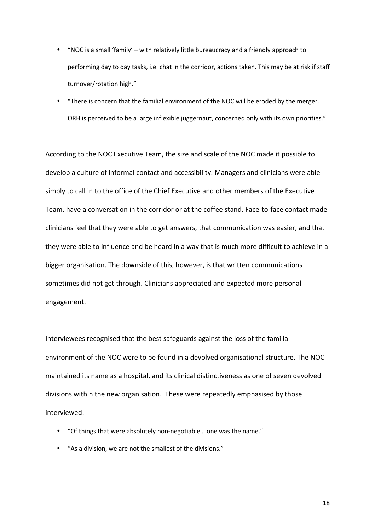- "NOC is a small 'family' with relatively little bureaucracy and a friendly approach to performing day to day tasks, i.e. chat in the corridor, actions taken. This may be at risk if staff turnover/rotation high."
- "There is concern that the familial environment of the NOC will be eroded by the merger. ORH is perceived to be a large inflexible juggernaut, concerned only with its own priorities."

According to the NOC Executive Team, the size and scale of the NOC made it possible to develop a culture of informal contact and accessibility. Managers and clinicians were able simply to call in to the office of the Chief Executive and other members of the Executive Team, have a conversation in the corridor or at the coffee stand. Face-to-face contact made clinicians feel that they were able to get answers, that communication was easier, and that they were able to influence and be heard in a way that is much more difficult to achieve in a bigger organisation. The downside of this, however, is that written communications sometimes did not get through. Clinicians appreciated and expected more personal engagement.

Interviewees recognised that the best safeguards against the loss of the familial environment of the NOC were to be found in a devolved organisational structure. The NOC maintained its name as a hospital, and its clinical distinctiveness as one of seven devolved divisions within the new organisation. These were repeatedly emphasised by those interviewed:

- "Of things that were absolutely non-negotiable… one was the name."
- "As a division, we are not the smallest of the divisions."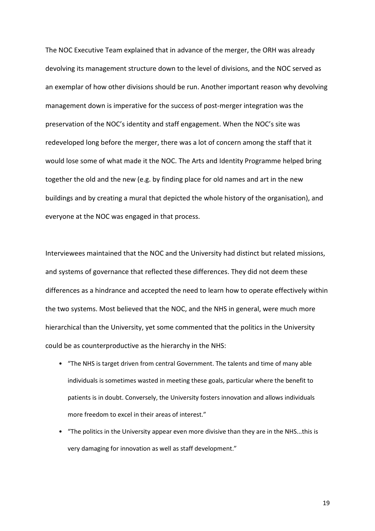The NOC Executive Team explained that in advance of the merger, the ORH was already devolving its management structure down to the level of divisions, and the NOC served as an exemplar of how other divisions should be run. Another important reason why devolving management down is imperative for the success of post-merger integration was the preservation of the NOC's identity and staff engagement. When the NOC's site was redeveloped long before the merger, there was a lot of concern among the staff that it would lose some of what made it the NOC. The Arts and Identity Programme helped bring together the old and the new (e.g. by finding place for old names and art in the new buildings and by creating a mural that depicted the whole history of the organisation), and everyone at the NOC was engaged in that process.

Interviewees maintained that the NOC and the University had distinct but related missions, and systems of governance that reflected these differences. They did not deem these differences as a hindrance and accepted the need to learn how to operate effectively within the two systems. Most believed that the NOC, and the NHS in general, were much more hierarchical than the University, yet some commented that the politics in the University could be as counterproductive as the hierarchy in the NHS:

- "The NHS is target driven from central Government. The talents and time of many able individuals is sometimes wasted in meeting these goals, particular where the benefit to patients is in doubt. Conversely, the University fosters innovation and allows individuals more freedom to excel in their areas of interest."
- "The politics in the University appear even more divisive than they are in the NHS...this is very damaging for innovation as well as staff development."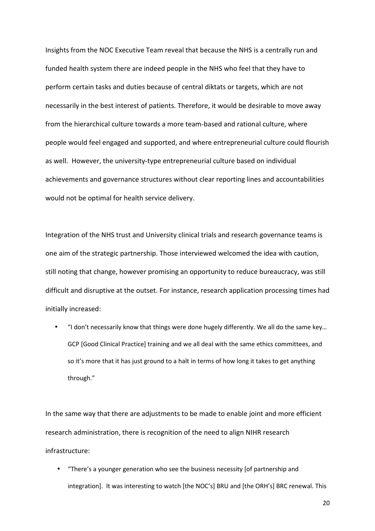Insights from the NOC Executive Team reveal that because the NHS is a centrally run and funded health system there are indeed people in the NHS who feel that they have to perform certain tasks and duties because of central diktats or targets, which are not necessarily in the best interest of patients. Therefore, it would be desirable to move away from the hierarchical culture towards a more team-based and rational culture, where people would feel engaged and supported, and where entrepreneurial culture could flourish as well. However, the university-type entrepreneurial culture based on individual achievements and governance structures without clear reporting lines and accountabilities would not be optimal for health service delivery.

Integration of the NHS trust and University clinical trials and research governance teams is one aim of the strategic partnership. Those interviewed welcomed the idea with caution, still noting that change, however promising an opportunity to reduce bureaucracy, was still difficult and disruptive at the outset. For instance, research application processing times had initially increased:

• "I don't necessarily know that things were done hugely differently. We all do the same key… GCP [Good Clinical Practice] training and we all deal with the same ethics committees, and so it's more that it has just ground to a halt in terms of how long it takes to get anything through."

In the same way that there are adjustments to be made to enable joint and more efficient research administration, there is recognition of the need to align NIHR research infrastructure:

• "There's a younger generation who see the business necessity [of partnership and integration]. It was interesting to watch [the NOC's] BRU and [the ORH's] BRC renewal. This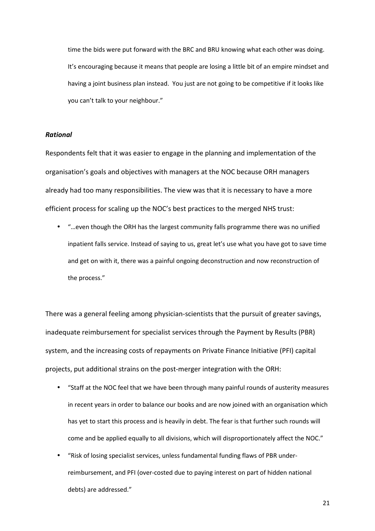time the bids were put forward with the BRC and BRU knowing what each other was doing. It's encouraging because it means that people are losing a little bit of an empire mindset and having a joint business plan instead. You just are not going to be competitive if it looks like you can't talk to your neighbour."

#### *Rational*

Respondents felt that it was easier to engage in the planning and implementation of the organisation's goals and objectives with managers at the NOC because ORH managers already had too many responsibilities. The view was that it is necessary to have a more efficient process for scaling up the NOC's best practices to the merged NHS trust:

• "…even though the ORH has the largest community falls programme there was no unified inpatient falls service. Instead of saying to us, great let's use what you have got to save time and get on with it, there was a painful ongoing deconstruction and now reconstruction of the process."

There was a general feeling among physician-scientists that the pursuit of greater savings, inadequate reimbursement for specialist services through the Payment by Results (PBR) system, and the increasing costs of repayments on Private Finance Initiative (PFI) capital projects, put additional strains on the post-merger integration with the ORH:

- "Staff at the NOC feel that we have been through many painful rounds of austerity measures in recent years in order to balance our books and are now joined with an organisation which has yet to start this process and is heavily in debt. The fear is that further such rounds will come and be applied equally to all divisions, which will disproportionately affect the NOC."
- "Risk of losing specialist services, unless fundamental funding flaws of PBR underreimbursement, and PFI (over-costed due to paying interest on part of hidden national debts) are addressed."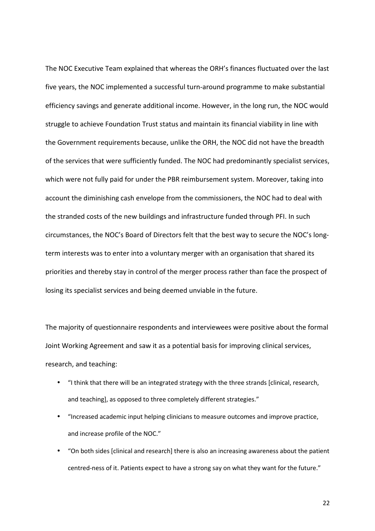The NOC Executive Team explained that whereas the ORH's finances fluctuated over the last five years, the NOC implemented a successful turn-around programme to make substantial efficiency savings and generate additional income. However, in the long run, the NOC would struggle to achieve Foundation Trust status and maintain its financial viability in line with the Government requirements because, unlike the ORH, the NOC did not have the breadth of the services that were sufficiently funded. The NOC had predominantly specialist services, which were not fully paid for under the PBR reimbursement system. Moreover, taking into account the diminishing cash envelope from the commissioners, the NOC had to deal with the stranded costs of the new buildings and infrastructure funded through PFI. In such circumstances, the NOC's Board of Directors felt that the best way to secure the NOC's longterm interests was to enter into a voluntary merger with an organisation that shared its priorities and thereby stay in control of the merger process rather than face the prospect of losing its specialist services and being deemed unviable in the future.

The majority of questionnaire respondents and interviewees were positive about the formal Joint Working Agreement and saw it as a potential basis for improving clinical services, research, and teaching:

- "I think that there will be an integrated strategy with the three strands [clinical, research, and teaching], as opposed to three completely different strategies."
- "Increased academic input helping clinicians to measure outcomes and improve practice, and increase profile of the NOC."
- "On both sides [clinical and research] there is also an increasing awareness about the patient centred-ness of it. Patients expect to have a strong say on what they want for the future."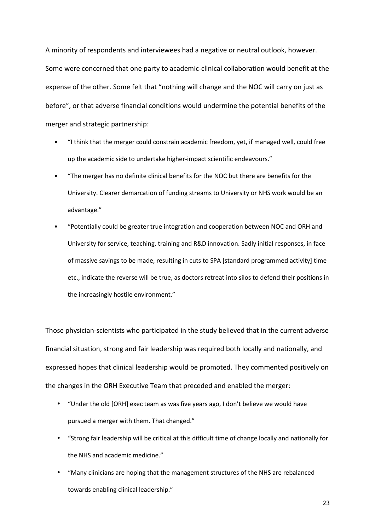A minority of respondents and interviewees had a negative or neutral outlook, however. Some were concerned that one party to academic-clinical collaboration would benefit at the expense of the other. Some felt that "nothing will change and the NOC will carry on just as before", or that adverse financial conditions would undermine the potential benefits of the merger and strategic partnership:

- "I think that the merger could constrain academic freedom, yet, if managed well, could free up the academic side to undertake higher-impact scientific endeavours."
- "The merger has no definite clinical benefits for the NOC but there are benefits for the University. Clearer demarcation of funding streams to University or NHS work would be an advantage."
- "Potentially could be greater true integration and cooperation between NOC and ORH and University for service, teaching, training and R&D innovation. Sadly initial responses, in face of massive savings to be made, resulting in cuts to SPA [standard programmed activity] time etc., indicate the reverse will be true, as doctors retreat into silos to defend their positions in the increasingly hostile environment."

Those physician-scientists who participated in the study believed that in the current adverse financial situation, strong and fair leadership was required both locally and nationally, and expressed hopes that clinical leadership would be promoted. They commented positively on the changes in the ORH Executive Team that preceded and enabled the merger:

- "Under the old [ORH] exec team as was five years ago, I don't believe we would have pursued a merger with them. That changed."
- "Strong fair leadership will be critical at this difficult time of change locally and nationally for the NHS and academic medicine."
- "Many clinicians are hoping that the management structures of the NHS are rebalanced towards enabling clinical leadership."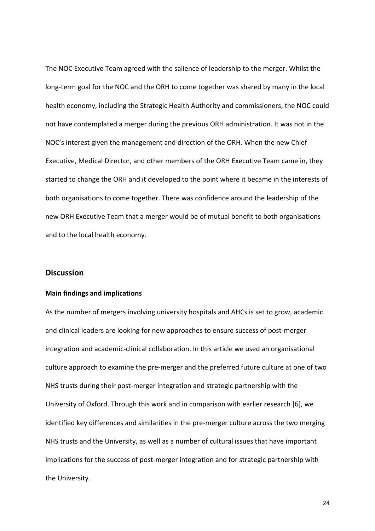The NOC Executive Team agreed with the salience of leadership to the merger. Whilst the long-term goal for the NOC and the ORH to come together was shared by many in the local health economy, including the Strategic Health Authority and commissioners, the NOC could not have contemplated a merger during the previous ORH administration. It was not in the NOC's interest given the management and direction of the ORH. When the new Chief Executive, Medical Director, and other members of the ORH Executive Team came in, they started to change the ORH and it developed to the point where it became in the interests of both organisations to come together. There was confidence around the leadership of the new ORH Executive Team that a merger would be of mutual benefit to both organisations and to the local health economy.

# **Discussion**

#### **Main findings and implications**

As the number of mergers involving university hospitals and AHCs is set to grow, academic and clinical leaders are looking for new approaches to ensure success of post-merger integration and academic-clinical collaboration. In this article we used an organisational culture approach to examine the pre-merger and the preferred future culture at one of two NHS trusts during their post-merger integration and strategic partnership with the University of Oxford. Through this work and in comparison with earlier research [[6\]](#page-30-0), we identified key differences and similarities in the pre-merger culture across the two merging NHS trusts and the University, as well as a number of cultural issues that have important implications for the success of post-merger integration and for strategic partnership with the University.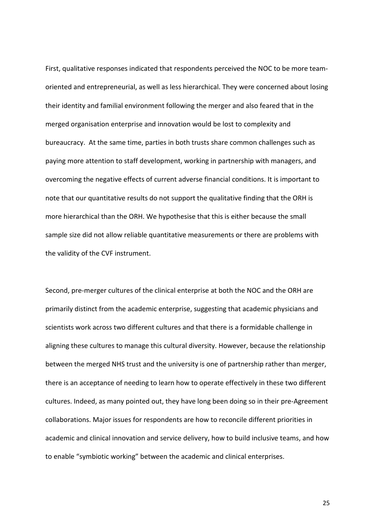First, qualitative responses indicated that respondents perceived the NOC to be more teamoriented and entrepreneurial, as well as less hierarchical. They were concerned about losing their identity and familial environment following the merger and also feared that in the merged organisation enterprise and innovation would be lost to complexity and bureaucracy. At the same time, parties in both trusts share common challenges such as paying more attention to staff development, working in partnership with managers, and overcoming the negative effects of current adverse financial conditions. It is important to note that our quantitative results do not support the qualitative finding that the ORH is more hierarchical than the ORH. We hypothesise that this is either because the small sample size did not allow reliable quantitative measurements or there are problems with the validity of the CVF instrument.

Second, pre-merger cultures of the clinical enterprise at both the NOC and the ORH are primarily distinct from the academic enterprise, suggesting that academic physicians and scientists work across two different cultures and that there is a formidable challenge in aligning these cultures to manage this cultural diversity. However, because the relationship between the merged NHS trust and the university is one of partnership rather than merger, there is an acceptance of needing to learn how to operate effectively in these two different cultures. Indeed, as many pointed out, they have long been doing so in their pre-Agreement collaborations. Major issues for respondents are how to reconcile different priorities in academic and clinical innovation and service delivery, how to build inclusive teams, and how to enable "symbiotic working" between the academic and clinical enterprises.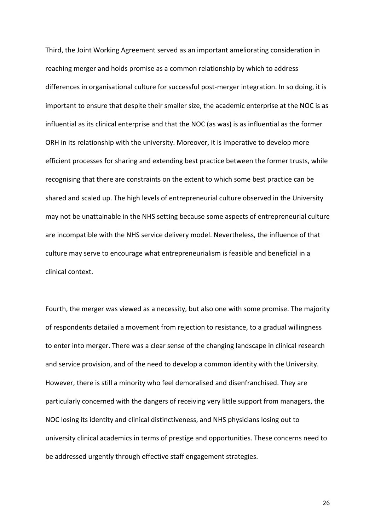Third, the Joint Working Agreement served as an important ameliorating consideration in reaching merger and holds promise as a common relationship by which to address differences in organisational culture for successful post-merger integration. In so doing, it is important to ensure that despite their smaller size, the academic enterprise at the NOC is as influential as its clinical enterprise and that the NOC (as was) is as influential as the former ORH in its relationship with the university. Moreover, it is imperative to develop more efficient processes for sharing and extending best practice between the former trusts, while recognising that there are constraints on the extent to which some best practice can be shared and scaled up. The high levels of entrepreneurial culture observed in the University may not be unattainable in the NHS setting because some aspects of entrepreneurial culture are incompatible with the NHS service delivery model. Nevertheless, the influence of that culture may serve to encourage what entrepreneurialism is feasible and beneficial in a clinical context.

Fourth, the merger was viewed as a necessity, but also one with some promise. The majority of respondents detailed a movement from rejection to resistance, to a gradual willingness to enter into merger. There was a clear sense of the changing landscape in clinical research and service provision, and of the need to develop a common identity with the University. However, there is still a minority who feel demoralised and disenfranchised. They are particularly concerned with the dangers of receiving very little support from managers, the NOC losing its identity and clinical distinctiveness, and NHS physicians losing out to university clinical academics in terms of prestige and opportunities. These concerns need to be addressed urgently through effective staff engagement strategies.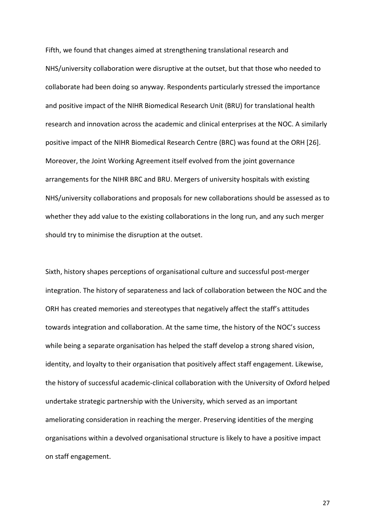Fifth, we found that changes aimed at strengthening translational research and NHS/university collaboration were disruptive at the outset, but that those who needed to collaborate had been doing so anyway. Respondents particularly stressed the importance and positive impact of the NIHR Biomedical Research Unit (BRU) for translational health research and innovation across the academic and clinical enterprises at the NOC. A similarly positive impact of the NIHR Biomedical Research Centre (BRC) was found at the ORH [[26\]](#page-32-0). Moreover, the Joint Working Agreement itself evolved from the joint governance arrangements for the NIHR BRC and BRU. Mergers of university hospitals with existing NHS/university collaborations and proposals for new collaborations should be assessed as to whether they add value to the existing collaborations in the long run, and any such merger should try to minimise the disruption at the outset.

Sixth, history shapes perceptions of organisational culture and successful post-merger integration. The history of separateness and lack of collaboration between the NOC and the ORH has created memories and stereotypes that negatively affect the staff's attitudes towards integration and collaboration. At the same time, the history of the NOC's success while being a separate organisation has helped the staff develop a strong shared vision, identity, and loyalty to their organisation that positively affect staff engagement. Likewise, the history of successful academic-clinical collaboration with the University of Oxford helped undertake strategic partnership with the University, which served as an important ameliorating consideration in reaching the merger. Preserving identities of the merging organisations within a devolved organisational structure is likely to have a positive impact on staff engagement.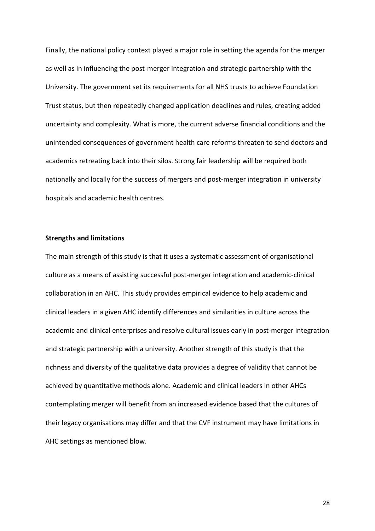Finally, the national policy context played a major role in setting the agenda for the merger as well as in influencing the post-merger integration and strategic partnership with the University. The government set its requirements for all NHS trusts to achieve Foundation Trust status, but then repeatedly changed application deadlines and rules, creating added uncertainty and complexity. What is more, the current adverse financial conditions and the unintended consequences of government health care reforms threaten to send doctors and academics retreating back into their silos. Strong fair leadership will be required both nationally and locally for the success of mergers and post-merger integration in university hospitals and academic health centres.

#### **Strengths and limitations**

The main strength of this study is that it uses a systematic assessment of organisational culture as a means of assisting successful post-merger integration and academic-clinical collaboration in an AHC. This study provides empirical evidence to help academic and clinical leaders in a given AHC identify differences and similarities in culture across the academic and clinical enterprises and resolve cultural issues early in post-merger integration and strategic partnership with a university. Another strength of this study is that the richness and diversity of the qualitative data provides a degree of validity that cannot be achieved by quantitative methods alone. Academic and clinical leaders in other AHCs contemplating merger will benefit from an increased evidence based that the cultures of their legacy organisations may differ and that the CVF instrument may have limitations in AHC settings as mentioned blow.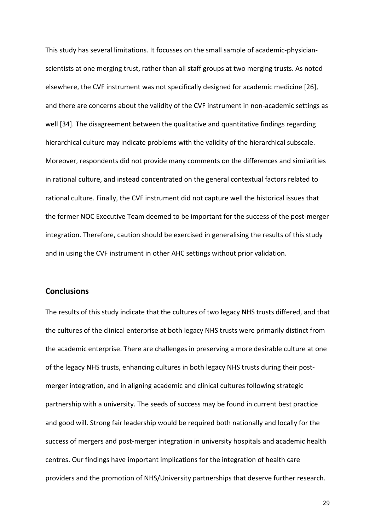This study has several limitations. It focusses on the small sample of academic-physicianscientists at one merging trust, rather than all staff groups at two merging trusts. As noted elsewhere, the CVF instrument was not specifically designed for academic medicine [\[26](#page-32-0)], and there are concerns about the validity of the CVF instrument in non-academic settings as well [\[34\]](#page-33-0)[.](#page-32-0) The disagreement between the qualitative and quantitative findings regarding hierarchical culture may indicate problems with the validity of the hierarchical subscale. Moreover, respondents did not provide many comments on the differences and similarities in rational culture, and instead concentrated on the general contextual factors related to rational culture. Finally, the CVF instrument did not capture well the historical issues that the former NOC Executive Team deemed to be important for the success of the post-merger integration. Therefore, caution should be exercised in generalising the results of this study and in using the CVF instrument in other AHC settings without prior validation.

# **Conclusions**

The results of this study indicate that the cultures of two legacy NHS trusts differed, and that the cultures of the clinical enterprise at both legacy NHS trusts were primarily distinct from the academic enterprise. There are challenges in preserving a more desirable culture at one of the legacy NHS trusts, enhancing cultures in both legacy NHS trusts during their postmerger integration, and in aligning academic and clinical cultures following strategic partnership with a university. The seeds of success may be found in current best practice and good will. Strong fair leadership would be required both nationally and locally for the success of mergers and post-merger integration in university hospitals and academic health centres. Our findings have important implications for the integration of health care providers and the promotion of NHS/University partnerships that deserve further research.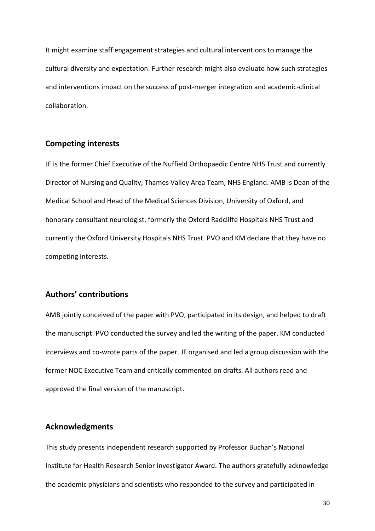It might examine staff engagement strategies and cultural interventions to manage the cultural diversity and expectation. Further research might also evaluate how such strategies and interventions impact on the success of post-merger integration and academic-clinical collaboration.

## **Competing interests**

JF is the former Chief Executive of the Nuffield Orthopaedic Centre NHS Trust and currently Director of Nursing and Quality, Thames Valley Area Team, NHS England. AMB is Dean of the Medical School and Head of the Medical Sciences Division, University of Oxford, and honorary consultant neurologist, formerly the Oxford Radcliffe Hospitals NHS Trust and currently the Oxford University Hospitals NHS Trust. PVO and KM declare that they have no competing interests.

# **Authors' contributions**

AMB jointly conceived of the paper with PVO, participated in its design, and helped to draft the manuscript. PVO conducted the survey and led the writing of the paper. KM conducted interviews and co-wrote parts of the paper. JF organised and led a group discussion with the former NOC Executive Team and critically commented on drafts. All authors read and approved the final version of the manuscript.

### **Acknowledgments**

This study presents independent research supported by Professor Buchan's National Institute for Health Research Senior Investigator Award. The authors gratefully acknowledge the academic physicians and scientists who responded to the survey and participated in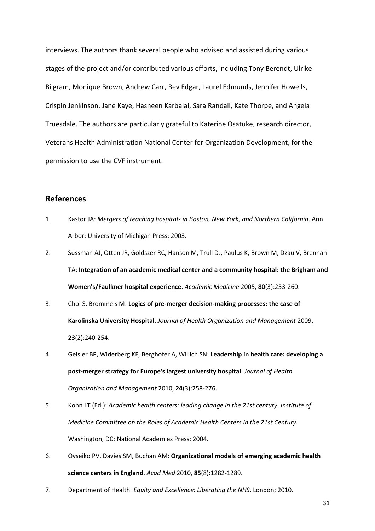<span id="page-30-0"></span>interviews. The authors thank several people who advised and assisted during various stages of the project and/or contributed various efforts, including Tony Berendt, Ulrike Bilgram, Monique Brown, Andrew Carr, Bev Edgar, Laurel Edmunds, Jennifer Howells, Crispin Jenkinson, Jane Kaye, Hasneen Karbalai, Sara Randall, Kate Thorpe, and Angela Truesdale. The authors are particularly grateful to Katerine Osatuke, research director, Veterans Health Administration National Center for Organization Development, for the permission to use the CVF instrument.

# **References**

- 1. Kastor JA: *Mergers of teaching hospitals in Boston, New York, and Northern California*. Ann Arbor: University of Michigan Press; 2003.
- 2. Sussman AJ, Otten JR, Goldszer RC, Hanson M, Trull DJ, Paulus K, Brown M, Dzau V, Brennan TA: **Integration of an academic medical center and a community hospital: the Brigham and Women's/Faulkner hospital experience**. *Academic Medicine* 2005, **80**(3):253-260.
- 3. Choi S, Brommels M: **Logics of pre-merger decision-making processes: the case of Karolinska University Hospital**. *Journal of Health Organization and Management* 2009, **23**(2):240-254.
- 4. Geisler BP, Widerberg KF, Berghofer A, Willich SN: **Leadership in health care: developing a post-merger strategy for Europe's largest university hospital**. *Journal of Health Organization and Management* 2010, **24**(3):258-276.
- 5. Kohn LT (Ed.): *Academic health centers: leading change in the 21st century. Institute of Medicine Committee on the Roles of Academic Health Centers in the 21st Century*. Washington, DC: National Academies Press; 2004.
- 6. Ovseiko PV, Davies SM, Buchan AM: **Organizational models of emerging academic health science centers in England**. *Acad Med* 2010, **85**(8):1282-1289.
- 7. Department of Health: *Equity and Excellence: Liberating the NHS*. London; 2010.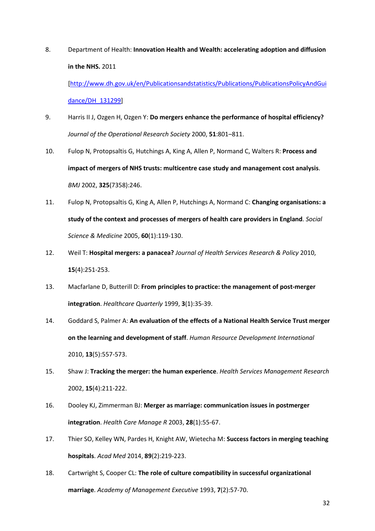<span id="page-31-0"></span>8. Department of Health: **Innovation Health and Wealth: accelerating adoption and diffusion in the NHS.** 2011 [[http://www.dh.gov.uk/en/Publicationsandstatistics/Publications/PublicationsPolicyAndGui](http://www.dh.gov.uk/en/Publicationsandstatistics/Publications/PublicationsPolicyAndGuidance/DH_131299)

[dance/DH\\_131299](http://www.dh.gov.uk/en/Publicationsandstatistics/Publications/PublicationsPolicyAndGuidance/DH_131299)]

- 9. Harris II J, Ozgen H, Ozgen Y: **Do mergers enhance the performance of hospital efficiency?** *Journal of the Operational Research Society* 2000, **51**:801–811.
- 10. Fulop N, Protopsaltis G, Hutchings A, King A, Allen P, Normand C, Walters R: **Process and impact of mergers of NHS trusts: multicentre case study and management cost analysis**. *BMJ* 2002, **325**(7358):246.
- 11. Fulop N, Protopsaltis G, King A, Allen P, Hutchings A, Normand C: **Changing organisations: a study of the context and processes of mergers of health care providers in England**. *Social Science & Medicine* 2005, **60**(1):119-130.
- 12. Weil T: **Hospital mergers: a panacea?** *Journal of Health Services Research & Policy* 2010, **15**(4):251-253.
- 13. Macfarlane D, Butterill D: **From principles to practice: the management of post-merger integration**. *Healthcare Quarterly* 1999, **3**(1):35-39.
- 14. Goddard S, Palmer A: **An evaluation of the effects of a National Health Service Trust merger on the learning and development of staff**. *Human Resource Development International*  2010, **13**(5):557-573.
- 15. Shaw J: **Tracking the merger: the human experience**. *Health Services Management Research*  2002, **15**(4):211-222.
- 16. Dooley KJ, Zimmerman BJ: **Merger as marriage: communication issues in postmerger integration**. *Health Care Manage R* 2003, **28**(1):55-67.
- 17. Thier SO, Kelley WN, Pardes H, Knight AW, Wietecha M: **Success factors in merging teaching hospitals**. *Acad Med* 2014, **89**(2):219-223.
- 18. Cartwright S, Cooper CL: **The role of culture compatibility in successful organizational marriage**. *Academy of Management Executive* 1993, **7**(2):57-70.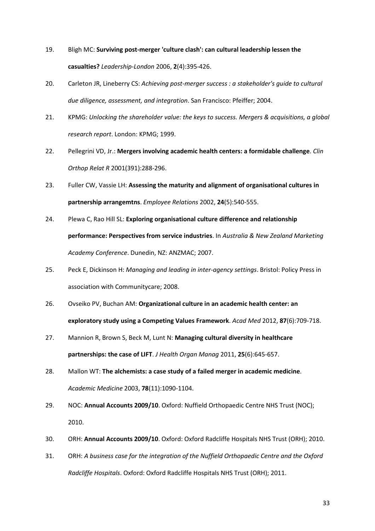- <span id="page-32-0"></span>19. Bligh MC: **Surviving post-merger 'culture clash': can cultural leadership lessen the casualties?** *Leadership-London* 2006, **2**(4):395-426.
- 20. Carleton JR, Lineberry CS: *Achieving post-merger success : a stakeholder's guide to cultural due diligence, assessment, and integration*. San Francisco: Pfeiffer; 2004.
- 21. KPMG: *Unlocking the shareholder value: the keys to success. Mergers & acquisitions, a global research report*. London: KPMG; 1999.
- 22. Pellegrini VD, Jr.: **Mergers involving academic health centers: a formidable challenge**. *Clin Orthop Relat R* 2001(391):288-296.
- 23. Fuller CW, Vassie LH: **Assessing the maturity and alignment of organisational cultures in partnership arrangemtns**. *Employee Relations* 2002, **24**(5):540-555.
- 24. Plewa C, Rao Hill SL: **Exploring organisational culture difference and relationship performance: Perspectives from service industries**. In *Australia & New Zealand Marketing Academy Conference*. Dunedin, NZ: ANZMAC; 2007.
- 25. Peck E, Dickinson H: *Managing and leading in inter-agency settings*. Bristol: Policy Press in association with Communitycare; 2008.
- 26. Ovseiko PV, Buchan AM: **Organizational culture in an academic health center: an exploratory study using a Competing Values Framework**. *Acad Med* 2012, **87**(6):709-718.
- 27. Mannion R, Brown S, Beck M, Lunt N: **Managing cultural diversity in healthcare partnerships: the case of LIFT**. *J Health Organ Manag* 2011, **25**(6):645-657.
- 28. Mallon WT: **The alchemists: a case study of a failed merger in academic medicine**. *Academic Medicine* 2003, **78**(11):1090-1104.
- 29. NOC: **Annual Accounts 2009/10**. Oxford: Nuffield Orthopaedic Centre NHS Trust (NOC); 2010.
- 30. ORH: **Annual Accounts 2009/10**. Oxford: Oxford Radcliffe Hospitals NHS Trust (ORH); 2010.
- 31. ORH: *A business case for the integration of the Nuffield Orthopaedic Centre and the Oxford Radcliffe Hospitals*. Oxford: Oxford Radcliffe Hospitals NHS Trust (ORH); 2011.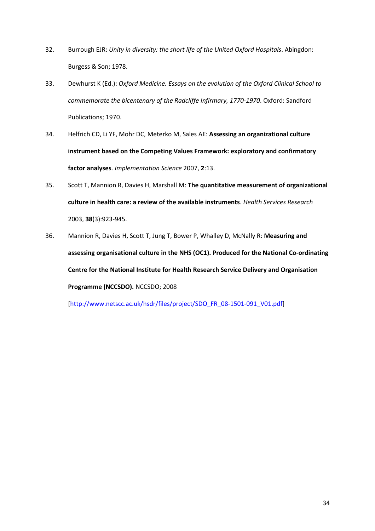- <span id="page-33-0"></span>32. Burrough EJR: *Unity in diversity: the short life of the United Oxford Hospitals*. Abingdon: Burgess & Son; 1978.
- 33. Dewhurst K (Ed.): *Oxford Medicine. Essays on the evolution of the Oxford Clinical School to commemorate the bicentenary of the Radcliffe Infirmary, 1770-1970*. Oxford: Sandford Publications; 1970.
- 34. Helfrich CD, Li YF, Mohr DC, Meterko M, Sales AE: **Assessing an organizational culture instrument based on the Competing Values Framework: exploratory and confirmatory factor analyses**. *Implementation Science* 2007, **2**:13.
- 35. Scott T, Mannion R, Davies H, Marshall M: **The quantitative measurement of organizational culture in health care: a review of the available instruments**. *Health Services Research*  2003, **38**(3):923-945.
- 36. Mannion R, Davies H, Scott T, Jung T, Bower P, Whalley D, McNally R: **Measuring and assessing organisational culture in the NHS (OC1). Produced for the National Co-ordinating Centre for the National Institute for Health Research Service Delivery and Organisation Programme (NCCSDO).** NCCSDO; 2008

[[http://www.netscc.ac.uk/hsdr/files/project/SDO\\_FR\\_08-1501-091\\_V01.pdf\]](http://www.netscc.ac.uk/hsdr/files/project/SDO_FR_08-1501-091_V01.pdf)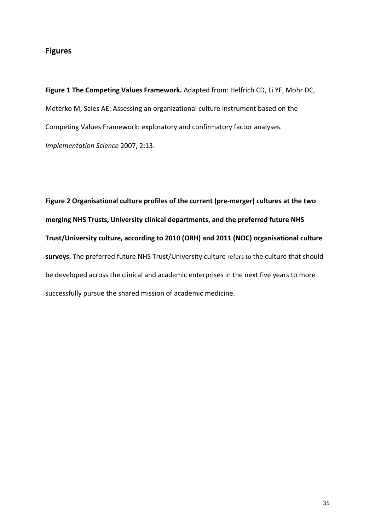# **Figures**

**Figure 1 The Competing Values Framework.** Adapted from: Helfrich CD, Li YF, Mohr DC, Meterko M, Sales AE: Assessing an organizational culture instrument based on the Competing Values Framework: exploratory and confirmatory factor analyses. *Implementation Science* 2007, 2:13.

**Figure 2 Organisational culture profiles of the current (pre-merger) cultures at the two merging NHS Trusts, University clinical departments, and the preferred future NHS Trust/University culture, according to 2010 (ORH) and 2011 (NOC) organisational culture surveys.** The preferred future NHS Trust/University culture refers to the culture that should be developed across the clinical and academic enterprises in the next five years to more successfully pursue the shared mission of academic medicine.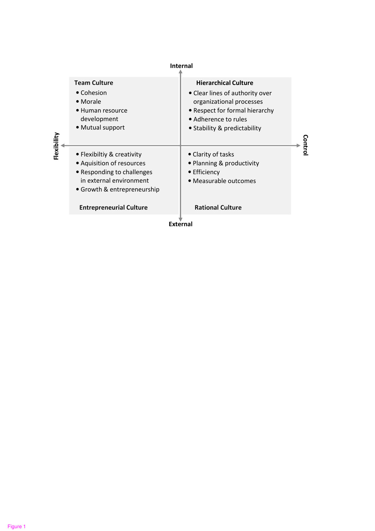| <b>Internal</b> |                                                                                                                                                                                   |                                                                                                                                                                                      |         |
|-----------------|-----------------------------------------------------------------------------------------------------------------------------------------------------------------------------------|--------------------------------------------------------------------------------------------------------------------------------------------------------------------------------------|---------|
|                 | <b>Team Culture</b><br>• Cohesion<br>• Morale<br>• Human resource<br>development<br>• Mutual support                                                                              | <b>Hierarchical Culture</b><br>• Clear lines of authority over<br>organizational processes<br>• Respect for formal hierarchy<br>• Adherence to rules<br>• Stability & predictability | Control |
| Flexibility     | • Flexibiltiy & creativity<br>• Aquisition of resources<br>• Responding to challenges<br>in external environment<br>• Growth & entrepreneurship<br><b>Entrepreneurial Culture</b> | • Clarity of tasks<br>• Planning & productivity<br>• Efficiency<br>· Measurable outcomes<br><b>Rational Culture</b>                                                                  |         |
| <b>External</b> |                                                                                                                                                                                   |                                                                                                                                                                                      |         |